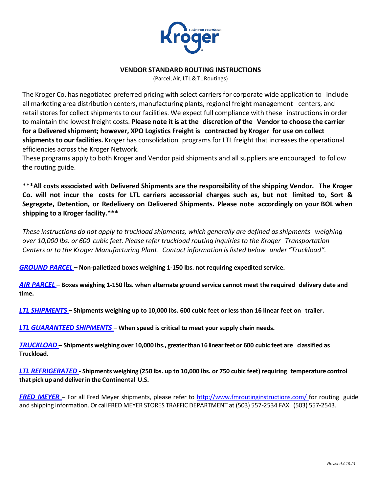

### **VENDOR STANDARD ROUTING INSTRUCTIONS**

(Parcel, Air, LTL& TL Routings)

The Kroger Co. has negotiated preferred pricing with select carriersfor corporate wide application to include all marketing area distribution centers, manufacturing plants, regional freight management centers, and retail stores for collect shipments to our facilities. We expect full compliance with these instructions in order to maintain the lowest freight costs. **Please note it is at the discretion of the Vendor to choose the carrier for a Delivered shipment; however, XPO Logistics Freight is contracted by Kroger for use on collect shipments to our facilities.** Kroger has consolidation programs for LTL freight that increases the operational efficiencies across the Kroger Network.

These programs apply to both Kroger and Vendor paid shipments and all suppliers are encouraged to follow the routing guide.

**\*\*\*All costs associated with Delivered Shipments are the responsibility of the shipping Vendor. The Kroger Co. will not incur the costs for LTL carriers accessorial charges such as, but not limited to, Sort & Segregate, Detention, or Redelivery on Delivered Shipments. Please note accordingly on your BOL when shipping to a Kroger facility.\*\*\***

*These instructions do not apply to truckload shipments, which generally are defined asshipments weighing over 10,000 lbs. or 600 cubic feet. Please refer truckload routing inquiriesto the Kroger Transportation Centers or to the Kroger Manufacturing Plant*. *Contact information islisted below under "Truckload".*

*[GROUND](#page-1-0) PARCEL* **– Non-palletized boxes weighing 1-150 lbs. not requiring expedited service.**

*[AIR PARCEL](#page-1-1)* **– Boxes weighing 1-150 lbs. when alternate ground service cannot meet the required delivery date and time.**

[LTL SHIPMENTS](#page-1-0) - Shipments weighing up to 10,000 lbs. 600 cubic feet or less than 16 linear feet on trailer.

*[LTL GUARANTEED](#page-2-0) SHIPMENTS* **– When speed is critical to meet your supply chain needs.**

*[TRUCKLOAD](#page-3-0)* **– Shipments weighing over 10,000 lbs., greaterthan16linearfeetor 600 cubic feet are classified as Truckload.**

[LTL REFRIGERATED](#page-3-1) - Shipments weighing (250 lbs. up to 10,000 lbs. or 750 cubic feet) requiring temperature control **that pick up and deliverin the Continental U.S.**

*FRED MEYER* **–** For all Fred Meyer shipments, please refer to <http://www.fmroutinginstructions.com/> for routing guide and shipping information. Or call FRED MEYER STORES TRAFFIC DEPARTMENT at (503) 557-2534 FAX (503) 557-2543.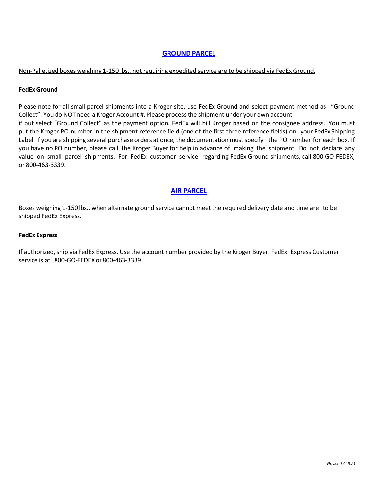# **[GROUND](#page-1-0) PARCEL**

#### <span id="page-1-0"></span>Non-Palletized boxes weighing 1-150 lbs., not requiring expedited service are to be shipped via FedEx Ground.

#### **FedExGround**

Please note for all small parcel shipments into a Kroger site, use FedEx Ground and select payment method as "Ground Collect". You do NOT need a Kroger Account #. Please processthe shipment under your own account # but select "Ground Collect" as the payment option. FedEx will bill Kroger based on the consignee address. You must put the Kroger PO number in the shipment reference field (one of the first three reference fields) on your FedEx Shipping Label. If you are shipping several purchase orders at once, the documentation must specify the PO number for each box. If you have no PO number, please call the Kroger Buyer for help in advance of making the shipment. Do not declare any value on small parcel shipments. For FedEx customer service regarding FedEx Ground shipments, call 800-GO-FEDEX, or 800-463-3339.

### **AIR [PARCEL](#page-1-1)**

<span id="page-1-1"></span>Boxes weighing 1-150 lbs., when alternate ground service cannot meet the required delivery date and time are to be shipped FedEx Express.

#### **FedEx Express**

If authorized, ship via FedEx Express. Use the account number provided by the Kroger Buyer. FedEx Express Customer service is at 800-GO-FEDEX or 800-463-3339.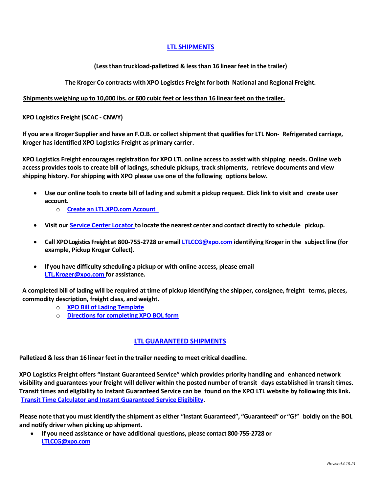# **LTL [SHIPMENTS](#page-1-0)**

### **(Lessthan truckload-palletized & lessthan 16 linear feet in the trailer)**

**The Kroger Co contracts with XPO Logistics Freight for both National and Regional Freight.**

#### **Shipments weighing up to 10,000 lbs. or 600 cubic feet or lessthan 16 linear feet on the trailer.**

**XPO Logistics Freight (SCAC - CNWY)**

If you are a Kroger Supplier and have an F.O.B. or collect shipment that qualifies for LTL Non-Refrigerated carriage, **Kroger has identified XPO Logistics Freight as primary carrier.**

**XPO Logistics Freight encourages registration for XPO LTL online access to assist with shipping needs. Online web access provides tools to create bill of ladings, schedule pickups, track shipments, retrieve documents and view shipping history. For shipping with XPO please use one of the following options below.**

- Use our online tools to create bill of lading and submit a pickup request. Click link to visit and create user **account.**
	- o **Create an [LTL.XPO.com](https://ltl.xpo.com/webapp/membership_app/membershipSignupCompanySearch.do) Account**
- **Visit our Service Center Locator to locate the nearest center and contact directly to schedule pickup.**
- **Call XPOLogisticsFreightat 800-755-2728 or email [LTLCCG@xpo.com](mailto:LTLCCG@xpo.com) identifying Kroger in the subject line (for example, Pickup Kroger Collect).**
- **If you have difficulty scheduling a pickup or with online access, please email [LTL.Kroger@xpo.com](mailto:LTL.Kroger@xpo.com) for assistance.**

A completed bill of lading will be required at time of pickup identifying the shipper, consignee, freight terms, pieces, **commodity description, freight class, and weight.**

- o **XPO Bill of Lading [Template](http://xpodotcom.azureedge.net/xpo/files/s8/Bill-of-Lading-Form.pdf)**
- o **[Directionsfor](https://ltl-solutions.xpo.com/help-center/how-use-online-bill-lading/) completing XPO BOL form**

# **LTL [GUARANTEED](#page-2-0) SHIPMENTS**

<span id="page-2-0"></span>**Palletized & lessthan 16 linear feet in the trailer needing to meet critical deadline.**

**XPO Logistics Freight offers "Instant Guaranteed Service" which provides priority handling and enhanced network** visibility and guarantees your freight will deliver within the posted number of transit days established in transit times. Transit times and eligibility to Instant Guaranteed Service can be found on the XPO LTL website by following this link. **Transit Time Calculator and [Instant Guaranteed](https://ltl.xpo.com/webapp/servicecenter_app/TransitTimeCalc/TransitTimeCalc.jsp) Service Eligibility.**

Please note that you must identify the shipment as either "Instant Guaranteed", "Guaranteed" or "G!" boldly on the BOL **and notify driver when picking up shipment.**

• **If you need assistance or have additional questions, please contact 800-755-2728 or [LTLCCG@xpo.com](mailto:LTLCCG@xpo.com)**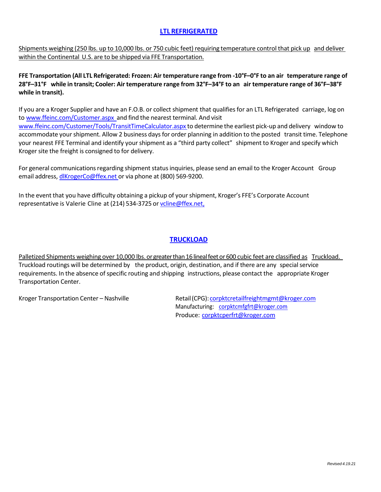# **LTL [REFRIGERATED](#page-3-1)**

<span id="page-3-1"></span>Shipments weighing (250 lbs. up to 10,000 lbs. or 750 cubic feet) requiring temperature control that pick up and deliver within the Continental U.S. are to be shipped via FFE Transportation.

FFE Transportation (All LTL Refrigerated: Frozen: Air temperature range from -10°F-0°F to an air temperature range of 28°F-31°F while in transit; Cooler: Air temperature range from 32°F-34°F to an air temperature range of 36°F-38°F **while in transit).**

If you are a Kroger Supplier and have an F.O.B. or collect shipment that qualifies for an LTL Refrigerated carriage, log on to [www.ffeinc.com/Customer.aspx](http://www.ffeinc.com/Customer.aspx) and find the nearest terminal. And visi[t](http://www.ffeinc.com/Customer/Tools/TransitTimeCalculator.aspx) [www.ffeinc.com/Customer/Tools/TransitTimeCalculator.aspx](http://www.ffeinc.com/Customer/Tools/TransitTimeCalculator.aspx) to determine the earliest pick-up and delivery window to accommodate yourshipment. Allow 2 business daysfor order planning in addition to the posted transit time. Telephone your nearest FFE Terminal and identify yourshipment as a "third party collect" shipment to Kroger and specify which Kroger site the freight is consigned to for delivery.

For general communications regarding shipment status inquiries, please send an email to the Kroger Account Group email address, [dlKrogerCo@ffex.net](mailto:dlKrogerCo@ffex.net) or via phone at (800) 569-9200.

In the event that you have difficulty obtaining a pickup of yourshipment, Kroger's FFE's Corporate Account representative is Valerie Cline at (214) 534-3725 or voline@ffex.net,

# **[TRUCKLOAD](#page-3-0)**

<span id="page-3-0"></span>Palletized Shipments weighing over 10,000 lbs. or greater than 16 lineal feet or 600 cubic feet are classified as Truckload. Truckload routings will be determined by the product, origin, destination, and if there are any specialservice requirements. In the absence of specific routing and shipping instructions, please contact the appropriate Kroger Transportation Center.

Kroger Transportation Center – Nashville Retail (CPG): [corpktcretailfreightmgmt@kroger.com](mailto:corpktcretailfreightmgmt@kroger.com) Manufacturing: [corpktcmfgfrt@kroger.com](mailto:corpktcmfgfrt@kroger.com) Produce: [corpktcperfrt@kroger.com](mailto:corpktcperfrt@kroger.com)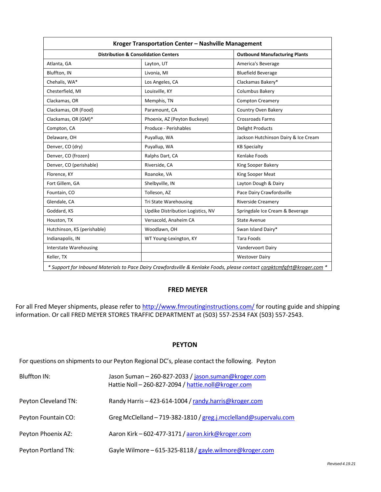|                               | <b>Outbound Manufacturing Plants</b>            |                                      |
|-------------------------------|-------------------------------------------------|--------------------------------------|
|                               | <b>Distribution &amp; Consolidation Centers</b> |                                      |
| Atlanta, GA                   | Layton, UT                                      | America's Beverage                   |
| Bluffton, IN                  | Livonia, MI                                     | <b>Bluefield Beverage</b>            |
| Chehalis, WA*                 | Los Angeles, CA                                 | Clackamas Bakery*                    |
| Chesterfield, MI              | Louisville, KY                                  | Columbus Bakery                      |
| Clackamas, OR                 | Memphis, TN                                     | <b>Compton Creamery</b>              |
| Clackamas, OR (Food)          | Paramount, CA                                   | Country Oven Bakery                  |
| Clackamas, OR (GM)*           | Phoenix, AZ (Peyton Buckeye)                    | <b>Crossroads Farms</b>              |
| Compton, CA                   | Produce - Perishables                           | <b>Delight Products</b>              |
| Delaware, OH                  | Puyallup, WA                                    | Jackson Hutchinson Dairy & Ice Cream |
| Denver, CO (dry)              | Puyallup, WA                                    | <b>KB Specialty</b>                  |
| Denver, CO (frozen)           | Ralphs Dart, CA                                 | Kenlake Foods                        |
| Denver, CO (perishable)       | Riverside, CA                                   | King Sooper Bakery                   |
| Florence, KY                  | Roanoke, VA                                     | King Sooper Meat                     |
| Fort Gillem, GA               | Shelbyville, IN                                 | Layton Dough & Dairy                 |
| Fountain, CO                  | Tolleson, AZ                                    | Pace Dairy Crawfordsville            |
| Glendale, CA                  | Tri State Warehousing                           | <b>Riverside Creamery</b>            |
| Goddard, KS                   | Updike Distribution Logistics, NV               | Springdale Ice Cream & Beverage      |
| Houston, TX                   | Versacold, Anaheim CA                           | <b>State Avenue</b>                  |
| Hutchinson, KS (perishable)   | Woodlawn, OH                                    | Swan Island Dairy*                   |
| Indianapolis, IN              | WT Young-Lexington, KY                          | <b>Tara Foods</b>                    |
| <b>Interstate Warehousing</b> |                                                 | Vandervoort Dairy                    |
| Keller, TX                    |                                                 | <b>Westover Dairy</b>                |

*\* Support for Inbound Materials to Pace Dairy Crawfordsville & Kenlake Foods, please contact corpktcmfgfrt@kroger.com \**

# **FRED MEYER**

For all Fred Meyer shipments, please refer t[o http://www.fmroutinginstructions.com/](http://www.fmroutinginstructions.com/) for routing guide and shipping information. Or call FRED MEYER STORES TRAFFIC DEPARTMENT at (503) 557-2534 FAX (503) 557-2543.

#### **PEYTON**

For questions on shipments to our Peyton Regional DC's, please contact the following. Peyton

| Bluffton IN:         | Jason Suman - 260-827-2033 / jason.suman@kroger.com<br>Hattie Noll - 260-827-2094 / hattie.noll@kroger.com |  |
|----------------------|------------------------------------------------------------------------------------------------------------|--|
| Peyton Cleveland TN: | Randy Harris-423-614-1004 / randy.harris@kroger.com                                                        |  |
| Peyton Fountain CO:  | Greg McClelland-719-382-1810 / greg.j.mcclelland@supervalu.com                                             |  |
| Peyton Phoenix AZ:   | Aaron Kirk - 602-477-3171 / aaron.kirk@kroger.com                                                          |  |
| Peyton Portland TN:  | Gayle Wilmore - 615-325-8118 / gayle.wilmore@kroger.com                                                    |  |